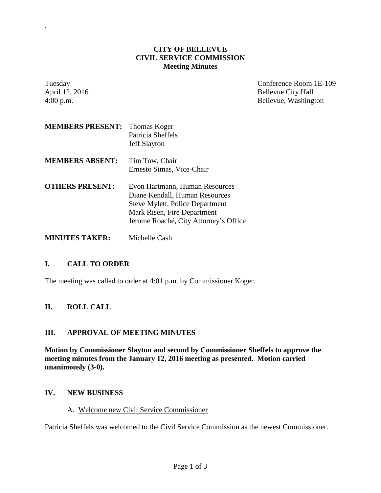### **CITY OF BELLEVUE CIVIL SERVICE COMMISSION Meeting Minutes**

| Tuesday<br>April 12, 2016<br>4:00 p.m. |                                                                                                                                                                                    | Conference Room 1E-109<br><b>Bellevue City Hall</b><br>Bellevue, Washington |
|----------------------------------------|------------------------------------------------------------------------------------------------------------------------------------------------------------------------------------|-----------------------------------------------------------------------------|
| <b>MEMBERS PRESENT:</b>                | Thomas Koger<br>Patricia Sheffels<br><b>Jeff Slayton</b>                                                                                                                           |                                                                             |
| <b>MEMBERS ABSENT:</b>                 | Tim Tow, Chair<br>Ernesto Simas, Vice-Chair                                                                                                                                        |                                                                             |
| <b>OTHERS PRESENT:</b>                 | Evon Hartmann, Human Resources<br>Diane Kendall, Human Resources<br><b>Steve Mylett, Police Department</b><br>Mark Risen, Fire Department<br>Jerome Roaché, City Attorney's Office |                                                                             |
| <b>MINUTES TAKER:</b>                  | Michelle Cash                                                                                                                                                                      |                                                                             |

# **I. CALL TO ORDER**

*.*

The meeting was called to order at 4:01 p.m. by Commissioner Koger.

# **II. ROLL CALL**

# **III. APPROVAL OF MEETING MINUTES**

**Motion by Commissioner Slayton and second by Commissioner Sheffels to approve the meeting minutes from the January 12, 2016 meeting as presented. Motion carried unanimously (3-0).**

# **IV. NEW BUSINESS**

A. Welcome new Civil Service Commissioner

Patricia Sheffels was welcomed to the Civil Service Commission as the newest Commissioner.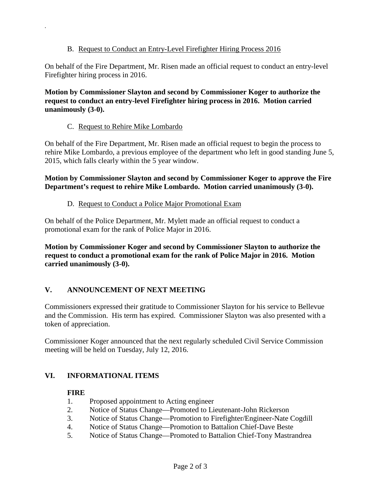# B. Request to Conduct an Entry-Level Firefighter Hiring Process 2016

On behalf of the Fire Department, Mr. Risen made an official request to conduct an entry-level Firefighter hiring process in 2016.

**Motion by Commissioner Slayton and second by Commissioner Koger to authorize the request to conduct an entry-level Firefighter hiring process in 2016. Motion carried unanimously (3-0).**

### C. Request to Rehire Mike Lombardo

*.*

On behalf of the Fire Department, Mr. Risen made an official request to begin the process to rehire Mike Lombardo, a previous employee of the department who left in good standing June 5, 2015, which falls clearly within the 5 year window.

### **Motion by Commissioner Slayton and second by Commissioner Koger to approve the Fire Department's request to rehire Mike Lombardo. Motion carried unanimously (3-0).**

### D. Request to Conduct a Police Major Promotional Exam

On behalf of the Police Department, Mr. Mylett made an official request to conduct a promotional exam for the rank of Police Major in 2016.

**Motion by Commissioner Koger and second by Commissioner Slayton to authorize the request to conduct a promotional exam for the rank of Police Major in 2016. Motion carried unanimously (3-0).**

# **V. ANNOUNCEMENT OF NEXT MEETING**

Commissioners expressed their gratitude to Commissioner Slayton for his service to Bellevue and the Commission. His term has expired. Commissioner Slayton was also presented with a token of appreciation.

Commissioner Koger announced that the next regularly scheduled Civil Service Commission meeting will be held on Tuesday, July 12, 2016.

# **VI. INFORMATIONAL ITEMS**

#### **FIRE**

- 1. Proposed appointment to Acting engineer
- 2. Notice of Status Change—Promoted to Lieutenant-John Rickerson
- 3. Notice of Status Change—Promotion to Firefighter/Engineer-Nate Cogdill
- 4. Notice of Status Change—Promotion to Battalion Chief-Dave Beste
- 5. Notice of Status Change—Promoted to Battalion Chief-Tony Mastrandrea